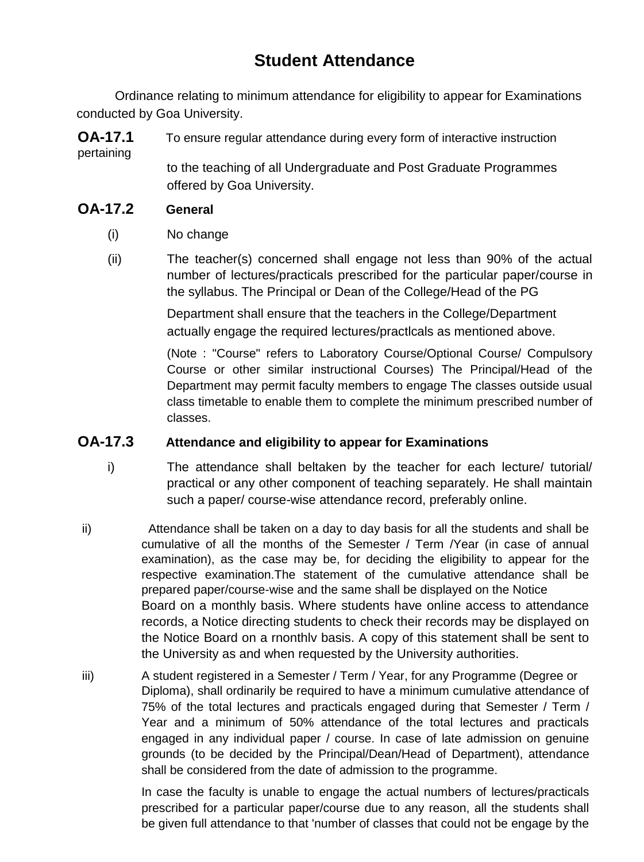## **Student Attendance**

Ordinance relating to minimum attendance for eligibility to appear for Examinations conducted by Goa University.

**OA-17.1** To ensure regular attendance during every form of interactive instruction pertaining

to the teaching of all Undergraduate and Post Graduate Programmes offered by Goa University.

## **OA-17.2 General**

- (i) No change
- (ii) The teacher(s) concerned shall engage not less than 90% of the actual number of lectures/practicals prescribed for the particular paper/course in the syllabus. The Principal or Dean of the College/Head of the PG

Department shall ensure that the teachers in the College/Department actually engage the required lectures/practlcals as mentioned above.

(Note : "Course" refers to Laboratory Course/Optional Course/ Compulsory Course or other similar instructional Courses) The Principal/Head of the Department may permit faculty members to engage The classes outside usual class timetable to enable them to complete the minimum prescribed number of classes.

## **OA-17.3 Attendance and eligibility to appear for Examinations**

- i) The attendance shall beltaken by the teacher for each lecture/ tutorial/ practical or any other component of teaching separately. He shall maintain such a paper/ course-wise attendance record, preferably online.
- ii) Attendance shall be taken on a day to day basis for all the students and shall be cumulative of all the months of the Semester / Term /Year (in case of annual examination), as the case may be, for deciding the eligibility to appear for the respective examination.The statement of the cumulative attendance shall be prepared paper/course-wise and the same shall be displayed on the Notice Board on a monthly basis. Where students have online access to attendance records, a Notice directing students to check their records may be displayed on the Notice Board on a rnonthlv basis. A copy of this statement shall be sent to the University as and when requested by the University authorities.
- iii) A student registered in a Semester / Term / Year, for any Programme (Degree or Diploma), shall ordinarily be required to have a minimum cumulative attendance of 75% of the total lectures and practicals engaged during that Semester / Term / Year and a minimum of 50% attendance of the total lectures and practicals engaged in any individual paper / course. In case of late admission on genuine grounds (to be decided by the Principal/Dean/Head of Department), attendance shall be considered from the date of admission to the programme.

In case the faculty is unable to engage the actual numbers of lectures/practicals prescribed for a particular paper/course due to any reason, all the students shall be given full attendance to that 'number of classes that could not be engage by the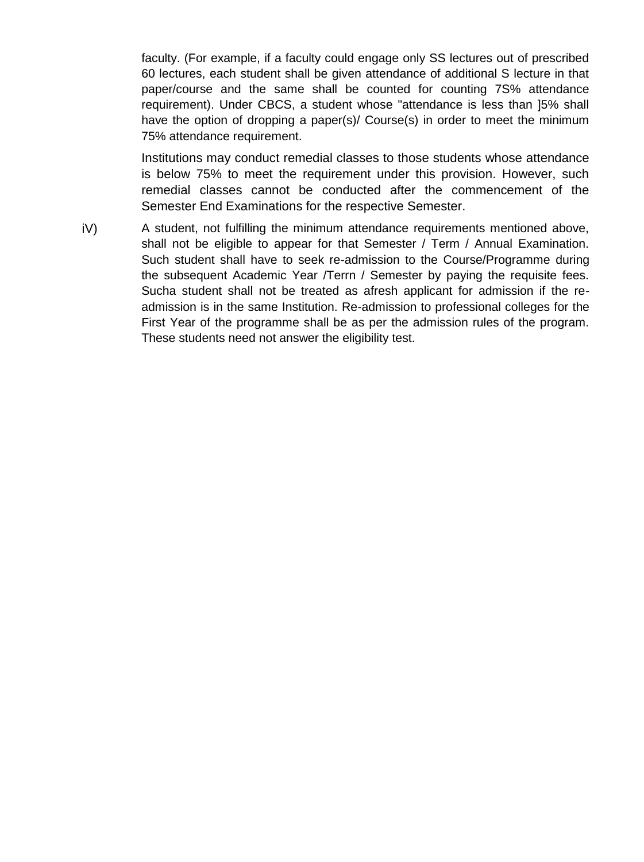faculty. (For example, if a faculty could engage only SS lectures out of prescribed 60 lectures, each student shall be given attendance of additional S lecture in that paper/course and the same shall be counted for counting 7S% attendance requirement). Under CBCS, a student whose "attendance is less than ]5% shall have the option of dropping a paper(s)/ Course(s) in order to meet the minimum 75% attendance requirement.

Institutions may conduct remedial classes to those students whose attendance is below 75% to meet the requirement under this provision. However, such remedial classes cannot be conducted after the commencement of the Semester End Examinations for the respective Semester.

iV) A student, not fulfilling the minimum attendance requirements mentioned above, shall not be eligible to appear for that Semester / Term / Annual Examination. Such student shall have to seek re-admission to the Course/Programme during the subsequent Academic Year /Terrn / Semester by paying the requisite fees. Sucha student shall not be treated as afresh applicant for admission if the readmission is in the same Institution. Re-admission to professional colleges for the First Year of the programme shall be as per the admission rules of the program. These students need not answer the eligibility test.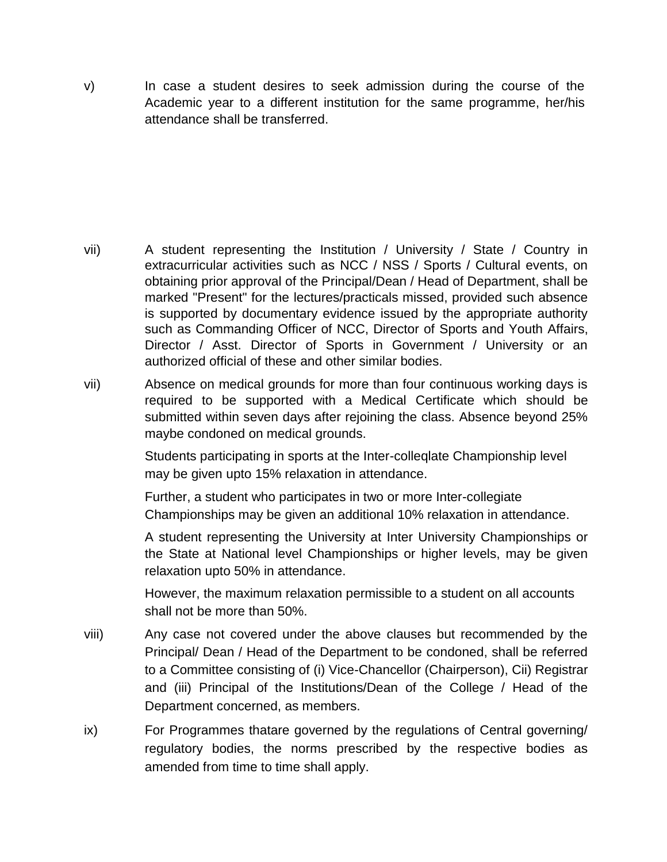v) In case a student desires to seek admission during the course of the Academic year to a different institution for the same programme, her/his attendance shall be transferred.

- vii) A student representing the Institution / University / State / Country in extracurricular activities such as NCC / NSS / Sports / Cultural events, on obtaining prior approval of the Principal/Dean / Head of Department, shall be marked "Present" for the lectures/practicals missed, provided such absence is supported by documentary evidence issued by the appropriate authority such as Commanding Officer of NCC, Director of Sports and Youth Affairs, Director / Asst. Director of Sports in Government / University or an authorized official of these and other similar bodies.
- vii) Absence on medical grounds for more than four continuous working days is required to be supported with a Medical Certificate which should be submitted within seven days after rejoining the class. Absence beyond 25% maybe condoned on medical grounds.

Students participating in sports at the Inter-colleqlate Championship level may be given upto 15% relaxation in attendance.

Further, a student who participates in two or more Inter-collegiate Championships may be given an additional 10% relaxation in attendance.

A student representing the University at Inter University Championships or the State at National level Championships or higher levels, may be given relaxation upto 50% in attendance.

However, the maximum relaxation permissible to a student on all accounts shall not be more than 50%.

- viii) Any case not covered under the above clauses but recommended by the Principal/ Dean / Head of the Department to be condoned, shall be referred to a Committee consisting of (i) Vice-Chancellor (Chairperson), Cii) Registrar and (iii) Principal of the Institutions/Dean of the College / Head of the Department concerned, as members.
- ix) For Programmes thatare governed by the regulations of Central governing/ regulatory bodies, the norms prescribed by the respective bodies as amended from time to time shall apply.